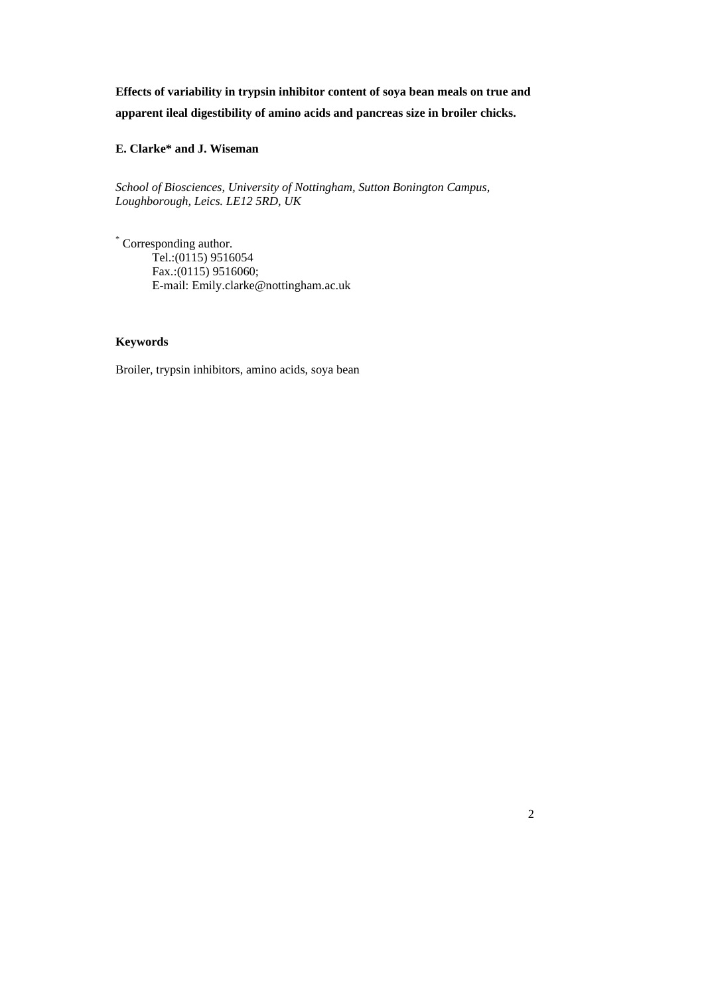**Effects of variability in trypsin inhibitor content of soya bean meals on true and app arent ileal digestibility of amino acids and pancreas size in broiler chicks.** 

**E. Clarke\* and J. Wiseman** 

*School of Biosciences, University of Nottingham, Sutton Bonington Campus, Lou hborough, Leics. LE12 5RD, UK g*

\* C orresponding author. Tel.:(0115) 9516054 Fax.: (0115) 9516060; E-mail: Emily.clarke@nottingham.ac.uk

### **Keywo rds**

Broiler, trypsin inhibitors, amino acids, soya bean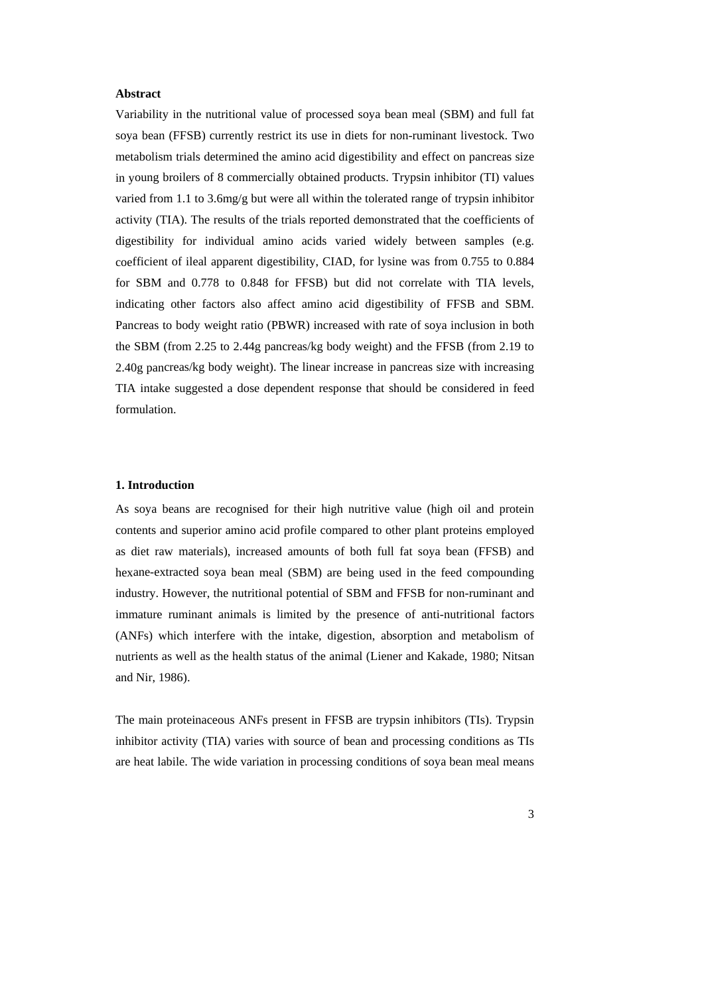#### Abstract

Variability in the nutritional value of processed soya bean meal (SBM) and full fat soy a bean (FFSB) currently restrict its use in diets for non-ruminant livestock. Two me tabolism trials determined the amino acid digestibility and effect on pancreas size in y oung broilers of 8 commercially obtained products. Trypsin inhibitor (TI) values varied from 1.1 to 3.6mg/g but were all within the tolerated range of trypsin inhibitor acti vity (TIA). The results of the trials reported demonstrated that the coefficients of digesti bility for individual amino acids varied widely between samples (e.g. coe fficient of ileal apparent digestibility, CIAD, for lysine was from 0.755 to 0.884 for SBM and 0.778 to 0.848 for FFSB) but did not correlate with TIA levels, ind icating other factors also affect amino acid digestibility of FFSB and SBM. Pan creas to body weight ratio (PBWR) increased with rate of soya inclusion in both the SBM (from 2.25 to 2.44g pancreas/kg body weight) and the FFSB (from 2.19 to 2.40g pan creas/kg body weight). The linear increase in pancreas size with increasing TIA intak e suggested a dose dependent response that should be considered in feed form ulation.

#### **1. Intr oduction**

As soya beans are recognised for their high nutritive value (high oil and protein contents and superior amino acid profile compared to other plant proteins employed as diet raw materials), increased amounts of both full fat soya bean (FFSB) and hexane-extracted soya bean meal (SBM) are being used in the feed compounding ind ustry. However, the nutritional potential of SBM and FFSB for non-ruminant and imm ature ruminant animals is limited by the presence of anti-nutritional factors (AN Fs) which interfere with the intake, digestion, absorption and metabolism of nut rients as well as the health status of the animal (Liener and Kakade, 1980; Nitsan and Nir, 19 86).

The main proteinaceous ANFs present in FFSB are trypsin inhibitors (TIs). Trypsin inh ibitor activity (TIA) varies with source of bean and processing conditions as TIs are heat labile. The wide variation in processing conditions of soya bean meal means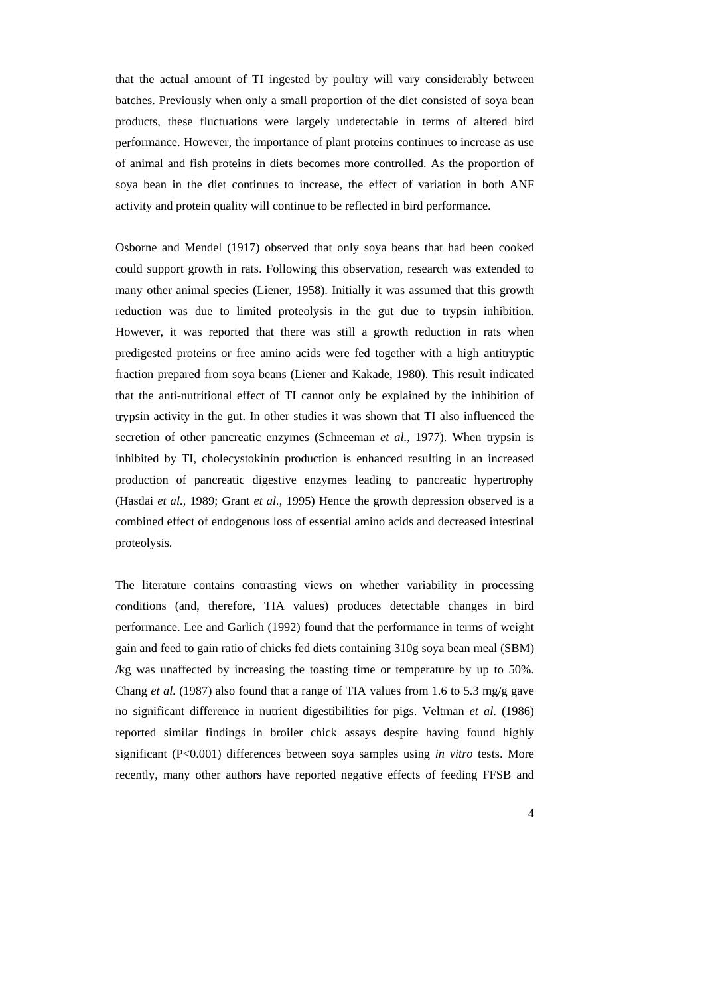that the actual amount of TI ingested by poultry will vary considerably between bat ches. Previously when only a small proportion of the diet consisted of soya bean pro ducts, these fluctuations were largely undetectable in terms of altered bird per formance. However, the importance of plant proteins continues to increase as use of a nimal and fish proteins in diets becomes more controlled. As the proportion of soy a bean in the diet continues to increase, the effect of variation in both ANF acti vity and protein quality will continue to be reflected in bird performance.

Osb orne and Mendel (1917) observed that only soya beans that had been cooked could support growth in rats. Following this observation, research was extended to ma ny other animal species (Liener, 1958). Initially it was assumed that this growth red uction was due to limited proteolysis in the gut due to trypsin inhibition. Ho wever, it was reported that there was still a growth reduction in rats when pre digested proteins or free amino acids were fed together with a high antitryptic frac tion prepared from soya beans (Liener and Kakade, 1980). This result indicated tha t the anti-nutritional effect of TI cannot only be explained by the inhibition of tryp sin activity in the gut. In other studies it was shown that TI also influenced the secretion of other pancreatic enzymes (Schneeman et al., 1977). When trypsin is inh ibited by TI, cholecystokinin production is enhanced resulting in an increased pro duction of pancreatic digestive enzymes leading to pancreatic hypertrophy (Ha sdai *et al.,* 1989; Grant *et al.*, 1995) Hence the growth depression observed is a com bined effect of endogenous loss of essential amino acids and decreased intestinal proteoly sis.

The literature contains contrasting views on whether variability in processing con ditions (and, therefore, TIA values) produces detectable changes in bird performance. Lee and Garlich (1992) found that the performance in terms of weight gain and feed to gain ratio of chicks fed diets containing 310g soya bean meal (SBM) /kg was unaffected by increasing the toasting time or temperature by up to 50%. Chang *et al.* (1987) also found that a range of TIA values from 1.6 to 5.3 mg/g gave no significant difference in nutrient digestibilities for pigs. Veltman *et al*. (1986) rep orted similar findings in broiler chick assays despite having found highly sign ificant (P<0.001) differences between soya samples using *in vitro* tests. More rec ently, many other authors have reported negative effects of feeding FFSB and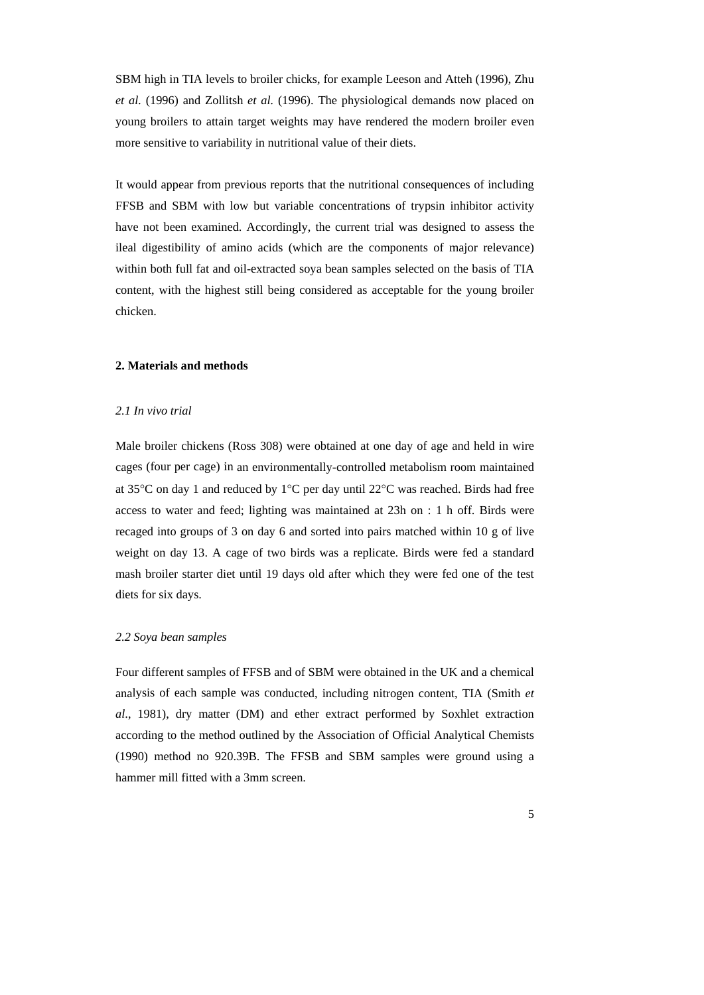SBM high in TIA levels to broiler chicks, for example Leeson and Atteh (1996), Zhu *et a l.* (1996) and Zollitsh *et al.* (1996). The physiological demands now placed on you ng broilers to attain target weights may have rendered the modern broiler even mo re sensitive to variability in nutritional value of their diets.

It would appear from previous reports that the nutritional consequences of including FFS B and SBM with low but variable concentrations of trypsin inhibitor activity hav e not been examined. Accordingly, the current trial was designed to assess the ilea l digestibility of amino acids (which are the components of major relevance) wit hin both full fat and oil-extracted soya bean samples selected on the basis of TIA con tent, with the highest still being considered as acceptable for the young broiler chi cken.

#### 2. Materials and methods

### *2.1 In vivo trial*

Male broiler chickens (Ross 308) were obtained at one day of age and held in wire cages (four per cage) in an environmentally-controlled metabolism room maintained at 35 $\degree$ C on day 1 and reduced by 1 $\degree$ C per day until 22 $\degree$ C was reached. Birds had free acc ess to water and feed; lighting was maintained at 23h on : 1 h off. Birds were recag ed into groups of 3 on day 6 and sorted into pairs matched within 10 g of live weight on day 13. A cage of two birds was a replicate. Birds were fed a standard ma sh broiler starter diet until 19 days old after which they were fed one of the test die ts for six days.

#### *2.2 Soya bean samples*

Fou r different samples of FFSB and of SBM were obtained in the UK and a chemical analysis of each sample was conducted, including nitrogen content, TIA (Smith et *al*., 1981), dry matter (DM) and ether extract performed by Soxhlet extraction according to the method outlined by the Association of Official Analytical Chemists (1990) method no 920.39B. The FFSB and SBM samples were ground using a ham mer mill fitted with a 3mm screen.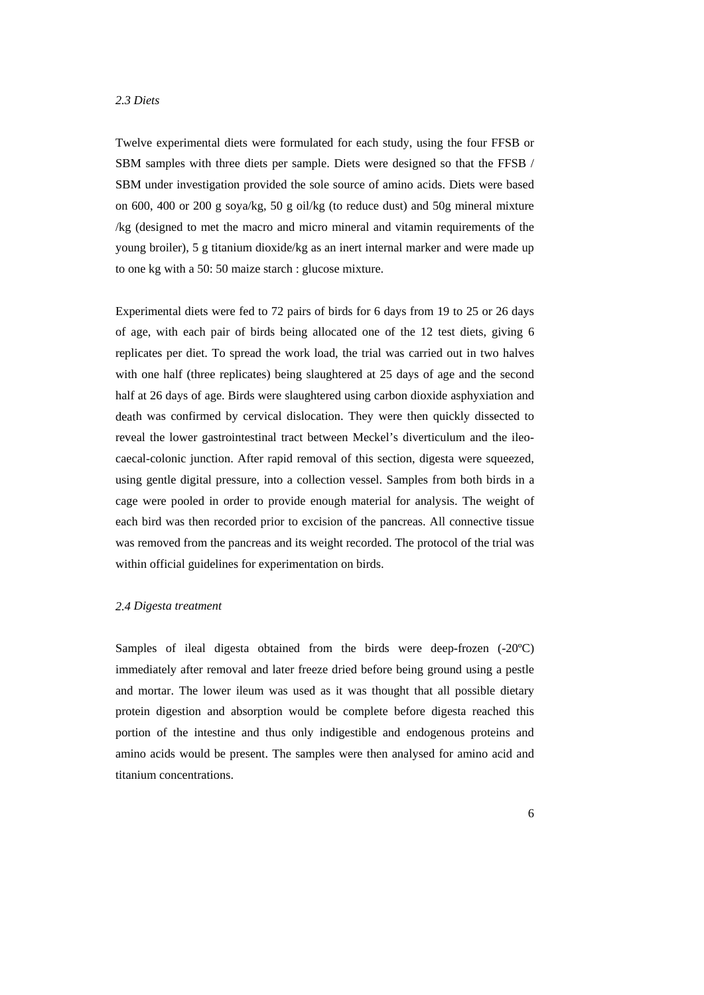# *2.3 Diets*

Twelve experimental diets were formulated for each study, using the four FFSB or SB M samples with three diets per sample. Diets were designed so that the FFSB / SB M under investigation provided the sole source of amino acids. Diets were based on 600, 400 or 200 g soya/kg, 50 g oil/kg (to reduce dust) and 50g mineral mixture /kg (de signed to met the macro and micro mineral and vitamin requirements of the you ng broiler), 5 g titanium dioxide/kg as an inert internal marker and were made up to o ne kg with a 50: 50 maize starch : glucose mixture.

Experimental diets were fed to 72 pairs of birds for 6 days from 19 to 25 or 26 days of age, with each pair of birds being allocated one of the 12 test diets, giving 6 repl icates per diet. To spread the work load, the trial was carried out in two halves with one half (three replicates) being slaughtered at 25 days of age and the second hal f at 26 days of age. Birds were slaughtered using carbon dioxide asphyxiation and deat h was confirmed by cervical dislocation. They were then quickly dissected to rev eal the lower gastrointestinal tract between Meckel's diverticulum and the ileocae cal-colonic junction. After rapid removal of this section, digesta were squeezed, usin g gentle digital pressure, into a collection vessel. Samples from both birds in a cag e were pooled in order to provide enough material for analysis. The weight of each bi rd was then recorded prior to excision of the pancreas. All connective tissue was removed from the pancreas and its weight recorded. The protocol of the trial was wit hin official guidelines for experimentation on birds.

### *2.4 Digesta treatment*

Samples of ileal digesta obtained from the birds were deep-frozen (-20°C) immediately after removal and later freeze dried before being ground using a pestle and mortar. The lower ileum was used as it was thought that all possible dietary protein digestion and absorption would be complete before digesta reached this portion of the intestine and thus only indigestible and endogenous proteins and am ino acids would be present. The samples were then analysed for amino acid and tita nium concentrations.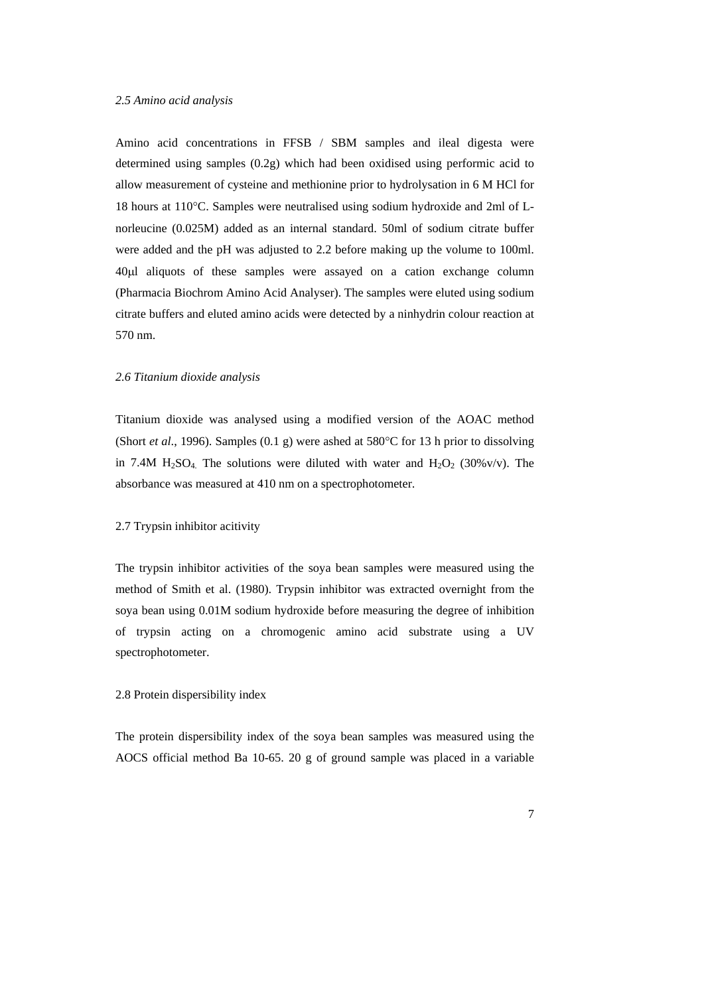# *2.5 Amino acid analysis*

Amino acid concentrations in FFSB / SBM samples and ileal digesta were det ermined using samples (0.2g) which had been oxidised using performic acid to allo w measurement of cysteine and methionine prior to hydrolysation in 6 M HCl for 18 hours at 110°C. Samples were neutralised using sodium hydroxide and 2ml of Lnorleu cine (0.025M) added as an internal standard. 50ml of sodium citrate buffer wer e added and the pH was adjusted to 2.2 before making up the volume to 100ml. 40μ l aliquots of these samples were assayed on a cation exchange column (Ph armacia Biochrom Amino Acid Analyser). The samples were eluted using sodium citr ate buffers and eluted amino acids were detected by a ninhydrin colour reaction at 570 nm.

#### *2.6 Titan ium dioxide analysis*

Titanium dioxide was analysed using a modified version of the AOAC method (Short *et al.*, 1996). Samples (0.1 g) were ashed at  $580^{\circ}$ C for 13 h prior to dissolving in 7.4M  $H_2SO_4$ . The solutions were diluted with water and  $H_2O_2$  (30%v/v). The abs orbance was measured at 410 nm on a spectrophotometer.

#### 2.7 Try psin inhibitor acitivity

The trypsin inhibitor activities of the soya bean samples were measured using the method of Smith et al. (1980). Trypsin inhibitor was extracted overnight from the soya bean using 0.01M sodium hydroxide before measuring the degree of inhibition of trypsin acting on a chromogenic amino acid substrate using a UV spe ctrophotometer.

### 2.8 Protein dispersibility index

The protein dispersibility index of the soya bean samples was measured using the AOCS official method Ba 10-65. 20 g of ground sample was placed in a variable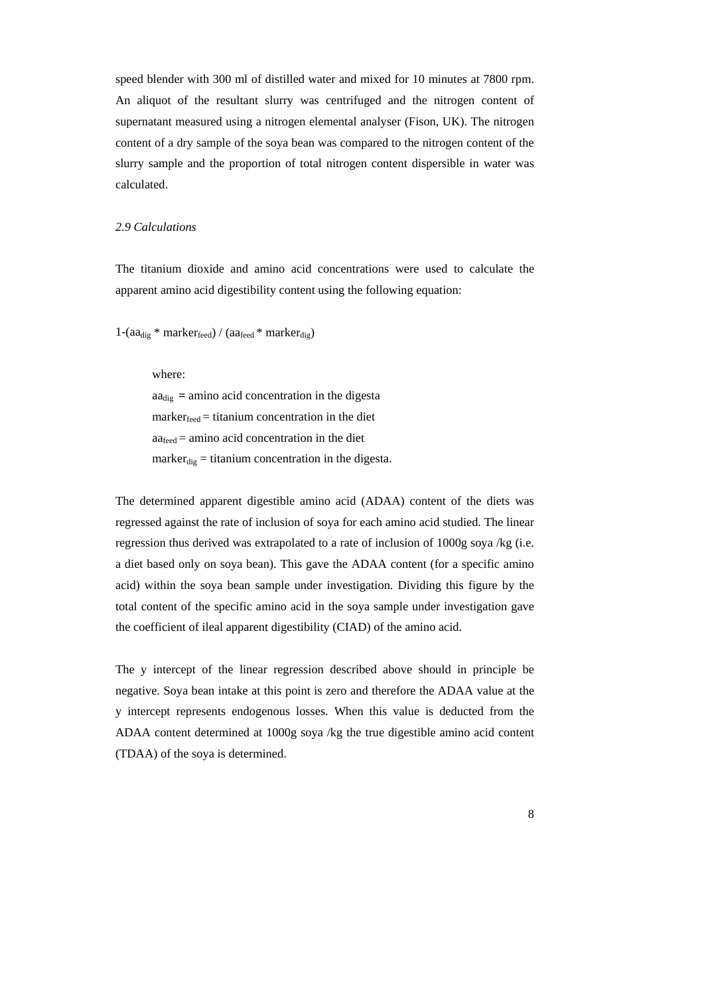speed blender with 300 ml of distilled water and mixed for 10 minutes at 7800 rpm. An aliquot of the resultant slurry was centrifuged and the nitrogen content of sup ernatant measured using a nitrogen elemental analyser (Fison, UK). The nitrogen con tent of a dry sample of the soya bean was compared to the nitrogen content of the slur ry sample and the proportion of total nitrogen content dispersible in water was calc ulated.

### *2.9 Calcula tions*

The titanium dioxide and amino acid concentrations were used to calculate the apparent amino acid digestibility content using the following equation:

 $1-(aa_{\text{dig}} * marker_{\text{feed}}) / (aa_{\text{feed}} * marker_{\text{dig}})$ 

where:

 $aa_{\text{dig}} = \text{amino acid concentration in the digesta}$  $market_{feed} = titanium concentration in the diet$  $aa_{\text{feed}} =$  amino acid concentration in the diet marker $_{\text{dig}}$  = titanium concentration in the digesta.

The determined apparent digestible amino acid (ADAA) content of the diets was regressed against the rate of inclusion of soya for each amino acid studied. The linear regression thus derived was extrapolated to a rate of inclusion of 1000g soya /kg (i.e. a diet based only on soya bean). This gave the ADAA content (for a specific amino acid ) within the soya bean sample under investigation. Dividing this figure by the tota l content of the specific amino acid in the soya sample under investigation gave the coefficient of ileal apparent digestibility (CIAD) of the amino acid.

The y intercept of the linear regression described above should in principle be neg ative. Soya bean intake at this point is zero and therefore the ADAA value at the y i ntercept represents endogenous losses. When this value is deducted from the AD AA content determined at 1000g soya /kg the true digestible amino acid content (TDAA) of the soya is determined.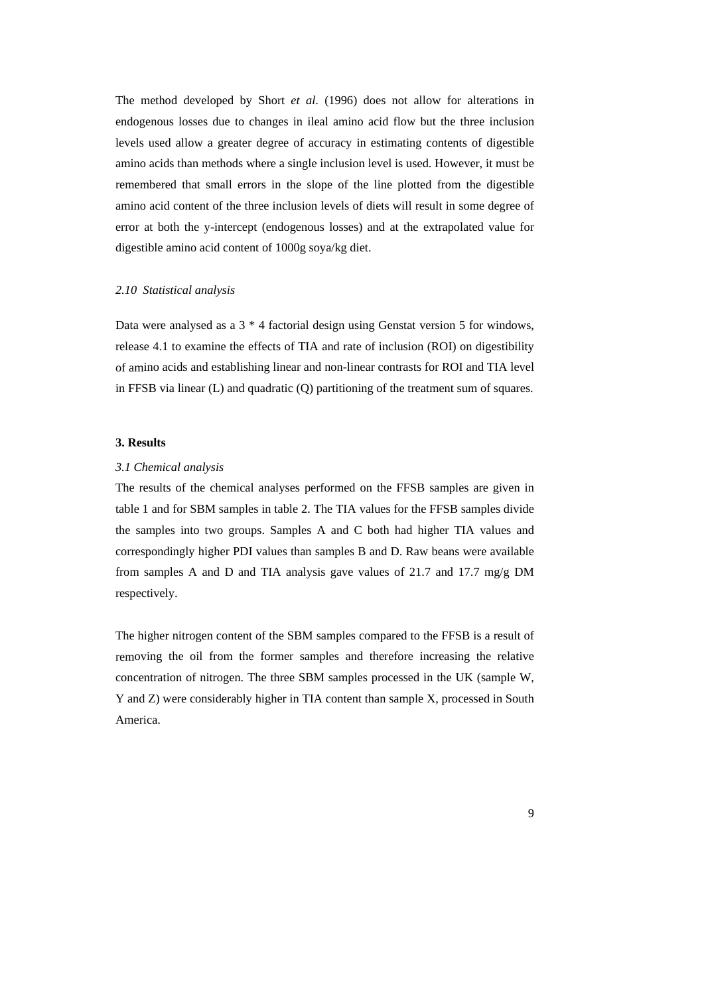The method developed by Short *et al*. (1996) does not allow for alterations in end ogenous losses due to changes in ileal amino acid flow but the three inclusion lev els used allow a greater degree of accuracy in estimating contents of digestible am ino acids than methods where a single inclusion level is used. However, it must be rem embered that small errors in the slope of the line plotted from the digestible am ino acid content of the three inclusion levels of diets will result in some degree of erro r at both the y-intercept (endogenous losses) and at the extrapolated value for dig estible amino acid content of 1000g soya/kg diet.

### *2.1 0 Statistical analysis*

Data were analysed as a  $3 * 4$  factorial design using Genstat version 5 for windows, release 4.1 to examine the effects of TIA and rate of inclusion (ROI) on digestibility of am ino acids and establishing linear and non-linear contrasts for ROI and TIA level in FF SB via linear (L) and quadratic (Q) partitioning of the treatment sum of squares.

#### **3. R esults**

#### *3.1 Chemical analysis*

The results of the chemical analyses performed on the FFSB samples are given in table 1 and for SBM samples in table 2. The TIA values for the FFSB samples divide the samples into two groups. Samples A and C both had higher TIA values and correspondingly higher PDI values than samples B and D. Raw beans were available from samples A and D and TIA analysis gave values of 21.7 and 17.7 mg/g DM resp ectively.

The higher nitrogen content of the SBM samples compared to the FFSB is a result of rem oving the oil from the former samples and therefore increasing the relative concentration of nitrogen. The three SBM samples processed in the UK (sample W, Y and Z) were considerably higher in TIA content than sample X, processed in South America.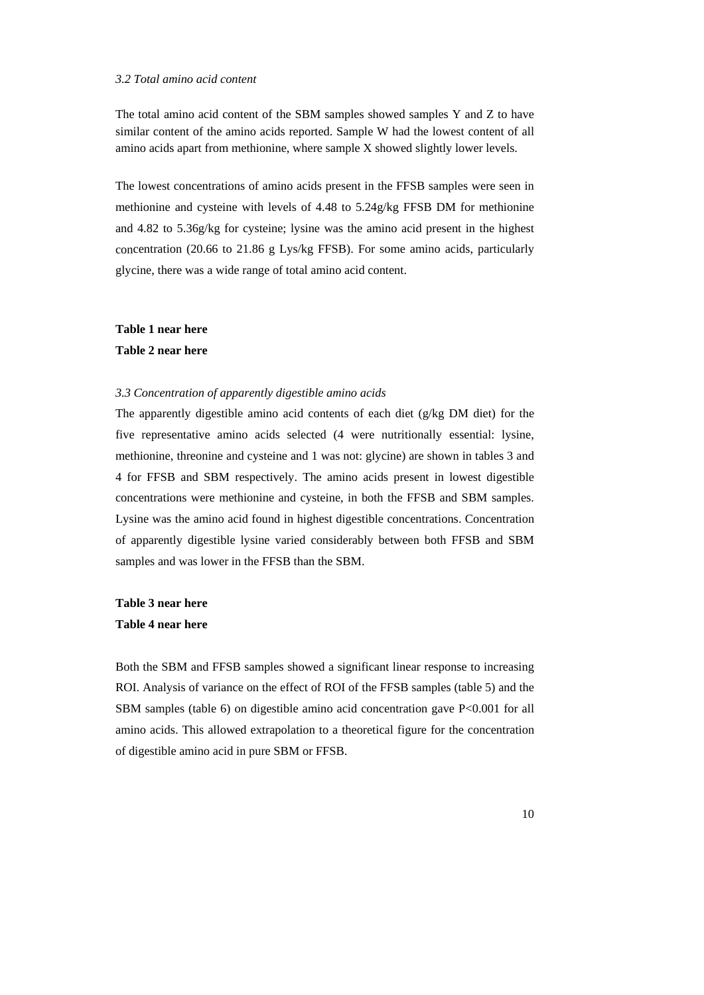#### *3.2 Total amino acid content*

The total amino acid content of the SBM samples showed samples Y and Z to have sim ilar content of the amino acids reported. Sample W had the lowest content of all am ino acids apart from methionine, where sample X showed slightly lower levels.

The lowest concentrations of amino acids present in the FFSB samples were seen in me thionine and cysteine with levels of 4.48 to 5.24g/kg FFSB DM for methionine and 4.82 to 5.36g/kg for cysteine; lysine was the amino acid present in the highest con centration (20.66 to 21.86 g Lys/kg FFSB). For some amino acids, particularly gly cine, there was a wide range of total amino acid content.

# **Table 1 near here Table 2 near here**

#### 3.3 Concentration of apparently digestible amino acids

The apparently digestible amino acid contents of each diet (g/kg DM diet) for the five representative amino acids selected (4 were nutritionally essential: lysine, methionine, threonine and cysteine and 1 was not: glycine) are shown in tables 3 and 4 f or FFSB and SBM respectively. The amino acids present in lowest digestible con centrations were methionine and cysteine, in both the FFSB and SBM samples. Lys ine was the amino acid found in highest digestible concentrations. Concentration of a pparently digestible lysine varied considerably between both FFSB and SBM sam ples and was lower in the FFSB than the SBM.

**Tab le 3 near here Tab le 4 near here** 

Both the SBM and FFSB samples showed a significant linear response to increasing ROI. Analysis of variance on the effect of ROI of the FFSB samples (table 5) and the SBM samples (table 6) on digestible amino acid concentration gave P<0.001 for all amino acids. This allowed extrapolation to a theoretical figure for the concentration of digestible amino acid in pure SBM or FFSB.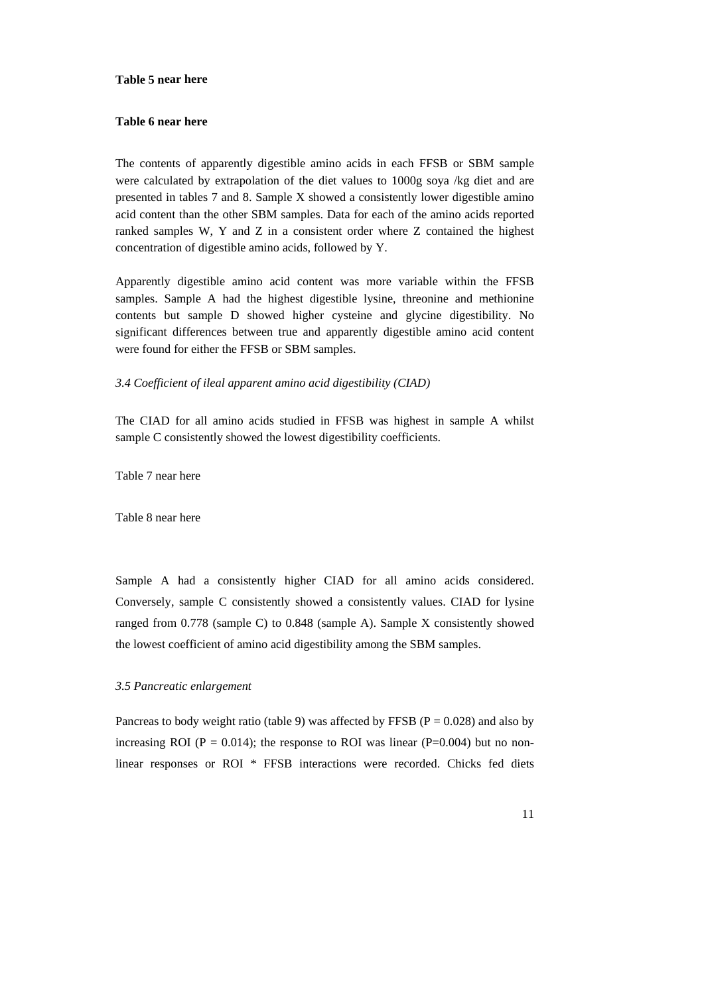**Table 5 n ear here** 

# **Table 6 near here**

The contents of apparently digestible amino acids in each FFSB or SBM sample wer e calculated by extrapolation of the diet values to 1000g soya /kg diet and are pre sented in tables 7 and 8. Sample X showed a consistently lower digestible amino acid content than the other SBM samples. Data for each of the amino acids reported ran ked samples W, Y and Z in a consistent order where Z contained the highest con centration of digestible amino acids, followed by Y.

Apparently digestible amino acid content was more variable within the FFSB samples. Sample A had the highest digestible lysine, threonine and methionine contents b ut sample D showed higher cysteine and glycine digestibility. No sign ificant differences between true and apparently digestible amino acid content wer e found for either the FFSB or SBM samples.

### *3.4 Coefficient of ileal apparent amino acid digestibility (CIAD)*

The CIAD for all amino acids studied in FFSB was highest in sample A whilst sam ple C consistently showed the lowest digestibility coefficients.

Table 7 near here

Tab le 8 near here

Sample A had a consistently higher CIAD for all amino acids considered. Conversely, sample C consistently showed a consistently values. CIAD for lysine ranged from  $0.778$  (sample C) to  $0.848$  (sample A). Sample X consistently showed the lowest coefficient of amino acid digestibility among the SBM samples.

# *3.5 Pan creatic enlargement*

Pancreas to body weight ratio (table 9) was affected by FFSB ( $P = 0.028$ ) and also by increasing ROI ( $P = 0.014$ ); the response to ROI was linear ( $P=0.004$ ) but no nonlinear responses or ROI \* FFSB interactions were recorded. Chicks fed diets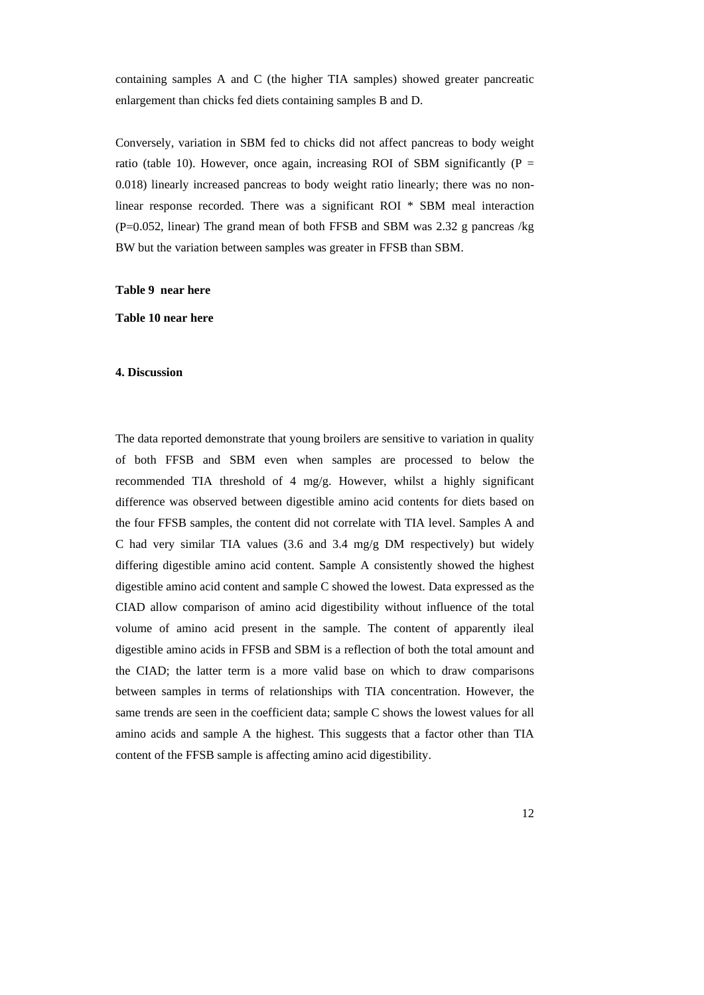containi ng samples A and C (the higher TIA samples) showed greater pancreatic enl argement than chicks fed diets containing samples B and D.

Conversely, variation in SBM fed to chicks did not affect pancreas to body weight ratio (table 10). However, once again, increasing ROI of SBM significantly ( $P =$ 0.0 18) linearly increased pancreas to body weight ratio linearly; there was no nonline ar response recorded. There was a significant ROI \* SBM meal interaction (P=0 .052, linear) The grand mean of both FFSB and SBM was 2.32 g pancreas /kg BW but the variation between samples was greater in FFSB than SBM.

#### **Tab le 9 near here**

**Table 10 near here** 

#### **4. D iscussion**

The data reported demonstrate that young broilers are sensitive to variation in quality of oth FFSB and SBM even when samples are processed to below the b recommended TIA threshold of 4 mg/g. However, whilst a highly significant diff erence was observed between digestible amino acid contents for diets based on the fou r FFSB samples, the content did not correlate with TIA level. Samples A and C h ad very similar TIA values (3.6 and 3.4 mg/g DM respectively) but widely diff ering digestible amino acid content. Sample A consistently showed the highest dig estible amino acid content and sample C showed the lowest. Data expressed as the CIA D allow comparison of amino acid digestibility without influence of the total vol ume of amino acid present in the sample. The content of apparently ileal dig estible amino acids in FFSB and SBM is a reflection of both the total amount and the CIAD; the latter term is a more valid base on which to draw comparisons betw een samples in terms of relationships with TIA concentration. However, the sam e trends are seen in the coefficient data; sample C shows the lowest values for all am ino acids and sample A the highest. This suggests that a factor other than TIA con tent of the FFSB sample is affecting amino acid digestibility.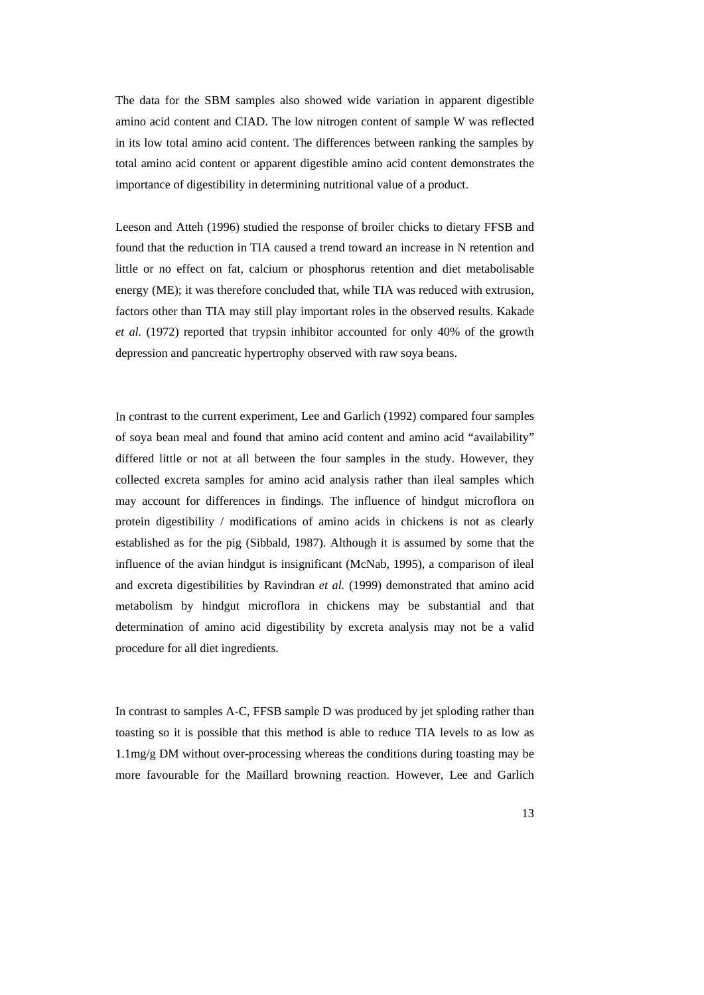The data for the SBM samples also showed wide variation in apparent digestible am ino acid content and CIAD. The low nitrogen content of sample W was reflected in i ts low total amino acid content. The differences between ranking the samples by tota l amino acid content or apparent digestible amino acid content demonstrates the imp ortance of digestibility in determining nutritional value of a product.

Leeso n and Atteh (1996) studied the response of broiler chicks to dietary FFSB and found that the reduction in TIA caused a trend toward an increase in N retention and littl e or no effect on fat, calcium or phosphorus retention and diet metabolisable energy (ME); it was therefore concluded that, while TIA was reduced with extrusion, fac tors other than TIA may still play important roles in the observed results. Kakade *et a l.* (1972) reported that trypsin inhibitor accounted for only 40% of the growth dep ression and pancreatic hypertrophy observed with raw soya beans.

In c ontrast to the current experiment, Lee and Garlich (1992) compared four samples of soya bean meal and found that amino acid content and amino acid "availability" differed little or not at all between the four samples in the study. However, they col lected excreta samples for amino acid analysis rather than ileal samples which ma y account for differences in findings. The influence of hindgut microflora on protein di gestibility / modifications of amino acids in chickens is not as clearly establis hed as for the pig (Sibbald, 1987). Although it is assumed by some that the infl uence of the avian hindgut is insignificant (McNab, 1995), a comparison of ileal and excreta digestibilities by Ravindran *et al.* (1999) demonstrated that amino acid me tabolism by hindgut microflora in chickens may be substantial and that det ermination of amino acid digestibility by excreta analysis may not be a valid pro cedure for all diet ingredients.

In c ontrast to samples A-C, FFSB sample D was produced by jet sploding rather than toa sting so it is possible that this method is able to reduce TIA levels to as low as 1.1 mg/g DM without over-processing whereas the conditions during toasting may be more favourable for the Maillard browning reaction. However, Lee and Garlich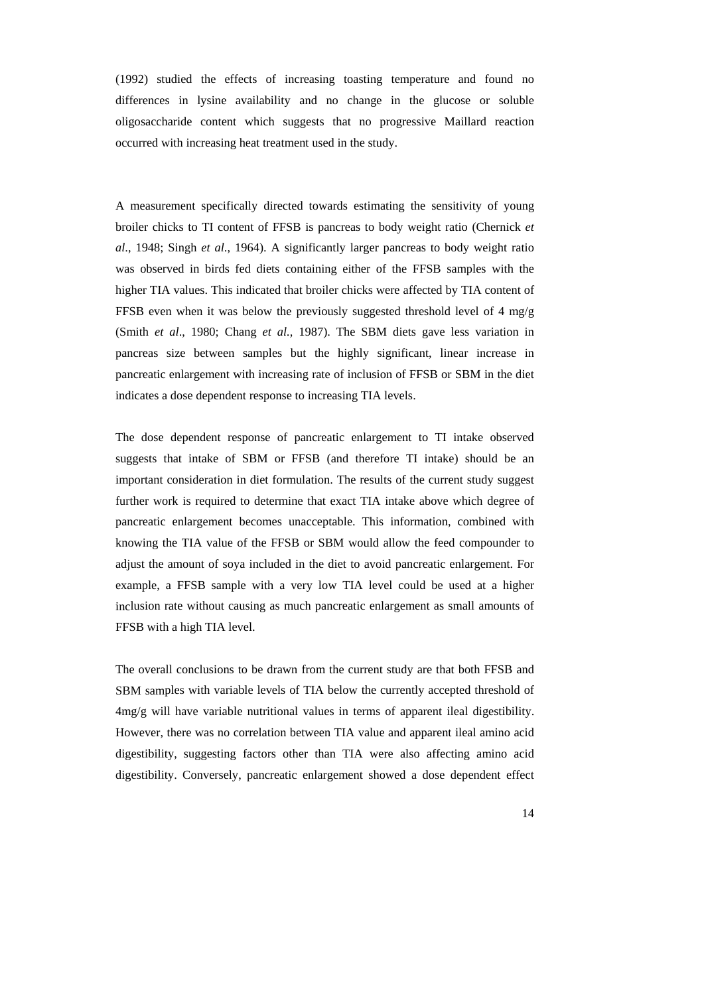(1992) st udied the effects of increasing toasting temperature and found no diff erences in lysine availability and no change in the glucose or soluble olig osaccharide content which suggests that no progressive Maillard reaction occ urred with increasing heat treatment used in the study.

A measurement specifically directed towards estimating the sensitivity of young broiler chicks to TI content of FFSB is pancreas to body weight ratio (Chernick *et al*., 1948; Singh *et al*., 1964). A significantly larger pancreas to body weight ratio was observed in birds fed diets containing either of the FFSB samples with the hig her TIA values. This indicated that broiler chicks were affected by TIA content of FFS B even when it was below the previously suggested threshold level of 4 mg/g (Sm ith *et al*., 1980; Chang *et al.,* 1987). The SBM diets gave less variation in pan creas size between samples but the highly significant, linear increase in panc reatic enlargement with increasing rate of inclusion of FFSB or SBM in the diet ind icates a dose dependent response to increasing TIA levels.

The dose dependent response of pancreatic enlargement to TI intake observed suggests that intake of SBM or FFSB (and therefore TI intake) should be an important consideration in diet formulation. The results of the current study suggest furt her work is required to determine that exact TIA intake above which degree of pan creatic enlargement becomes unacceptable. This information, combined with knowin g the TIA value of the FFSB or SBM would allow the feed compounder to adj ust the amount of soya included in the diet to avoid pancreatic enlargement. For exa mple, a FFSB sample with a very low TIA level could be used at a higher inc lusion rate without causing as much pancreatic enlargement as small amounts of FFS B with a high TIA level.

The overall conclusions to be drawn from the current study are that both FFSB and SBM sam ples with variable levels of TIA below the currently accepted threshold of 4m g/g will have variable nutritional values in terms of apparent ileal digestibility. However, there was no correlation between TIA value and apparent ileal amino acid digestibility, suggesting factors other than TIA were also affecting amino acid dig estibility. Conversely, pancreatic enlargement showed a dose dependent effect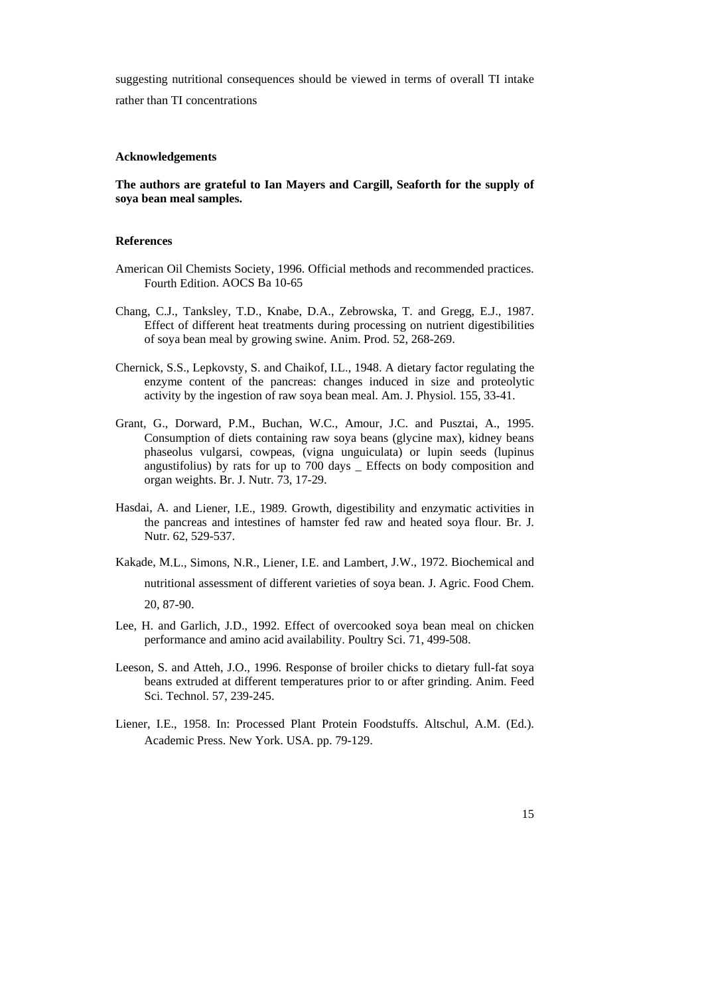suggest ing nutritional consequences should be viewed in terms of overall TI intake

rath er than TI concentrations

## **Ack owledgements n**

# The authors are grateful to Ian Mayers and Cargill, Seaforth for the supply of **soya bean meal samples.**

## **Ref erences**

- American Oil Chemists Society, 1996. Official methods and recommended practices. Fourth Edition. AOCS Ba 10-65
- Cha ng, C.J., Tanksley, T.D., Knabe, D.A., Zebrowska, T. and Gregg, E.J., 1987. Effect of different heat treatments during processing on nutrient digestibilities of soya bean meal by growing swine. Anim. Prod. 52, 268-269.
- Che rnick, S.S., Lepkovsty, S. and Chaikof, I.L., 1948. A dietary factor regulating the enzy me content of the pancreas: changes induced in size and proteolytic activ ity by the ingestion of raw soya bean meal. Am. J. Physiol. 155, 33-41.
- Gra nt, G., Dorward, P.M., Buchan, W.C., Amour, J.C. and Pusztai, A., 1995. phas eolus vulgarsi, cowpeas, (vigna unguiculata) or lupin seeds (lupinus angu stifolius) by rats for up to 700 days \_ Effects on body composition and Consumption of diets containing raw soya beans (glycine max), kidney beans organ weights. Br. J. Nutr. 73, 17-29.
- Hasdai, A. and Liener, I.E., 1989. Growth, digestibility and enzymatic activities in the pancreas and intestines of hamster fed raw and heated soya flour. Br. J. Nutr . 62, 529-537.
- Kakade, M.L., Simons, N.R., Liener, I.E. and Lambert, J.W., 1972. Biochemical and 20, 8 7-90. nutritional assessment of different varieties of soya bean. J. Agric. Food Chem.
- Lee, H. and Garlich, J.D., 1992. Effect of overcooked soya bean meal on chicken performance and amino acid availability. Poultry Sci. 71, 499-508.
- Leeson, S . and Atteh, J.O., 1996. Response of broiler chicks to dietary full-fat soya bean s extruded at different temperatures prior to or after grinding. Anim. Feed Sci. Technol. 57, 239-245.
- Lie ner, I.E., 1958. In: Processed Plant Protein Foodstuffs. Altschul, A.M. (Ed.). Aca demic Press. New York. USA. pp. 79-129.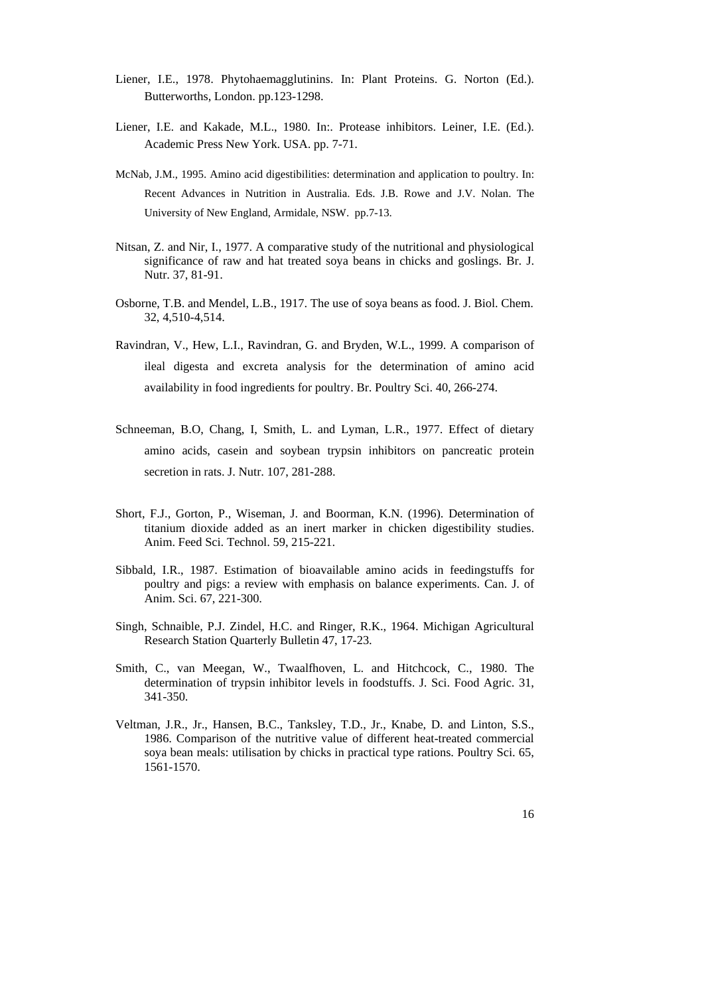- Liener, I.E. , 1978. Phytohaemagglutinins. In: Plant Proteins. G. Norton (Ed.). Butterworths, London. pp.123-1298.
- Liener, I.E. and Kakade, M.L., 1980. In:. Protease inhibitors. Leiner, I.E. (Ed.). Academic Press New York. USA. pp. 7-71.
- McNab, J.M., 1995. Amino acid digestibilities: determination and application to poultry. In: Recent Advances in Nutrition in Australia. Eds. J.B. Rowe and J.V. Nolan. The University of New England, Armidale, NSW. pp.7-13.
- Nitsan, Z. and Nir, I., 1977. A comparative study of the nutritional and physiological significance of raw and hat treated soya beans in chicks and goslings. Br. J. Nutr. 37, 81-91.
- Osborne, T .B. and Mendel, L.B., 1917. The use of soya beans as food. J. Biol. Chem. 32, 4 ,510-4,514.
- Rav indran, V., Hew, L.I., Ravindran, G. and Bryden, W.L., 1999. A comparison of ileal digesta and excreta analysis for the determination of amino acid availability in food ingredients for poultry. Br. Poultry Sci. 40, 266-274.
- Schneema n, B.O, Chang, I, Smith, L. and Lyman, L.R., 1977. Effect of dietary amin o acids, casein and soybean trypsin inhibitors on pancreatic protein secretion in rats. J. Nutr. 107, 281-288.
- Short, F.J ., Gorton, P., Wiseman, J. and Boorman, K.N. (1996). Determination of titan ium dioxide added as an inert marker in chicken digestibility studies. Anim . Feed Sci. Technol. 59, 215-221.
- Sibbald, I.R., 1987. Estimation of bioavailable amino acids in feedingstuffs for poultry and pigs: a review with emphasis on balance experiments. Can. J. of Anim. Sci. 67, 221-300.
- Singh, Schnaible, P.J. Zindel, H.C. and Ringer, R.K., 1964. Michigan Agricultural Resear ch Station Quarterly Bulletin 47, 17-23.
- Sm ith, C., van Meegan, W., Twaalfhoven, L. and Hitchcock, C., 1980. The dete rmination of trypsin inhibitor levels in foodstuffs. J. Sci. Food Agric. 31, 341- 350.
- Vel tman, J.R., Jr., Hansen, B.C., Tanksley, T.D., Jr., Knabe, D. and Linton, S.S., soya bean meals: utilisation by chicks in practical type rations. Poultry Sci. 65, 1986. Comparison of the nutritive value of different heat-treated commercial 1561-1570.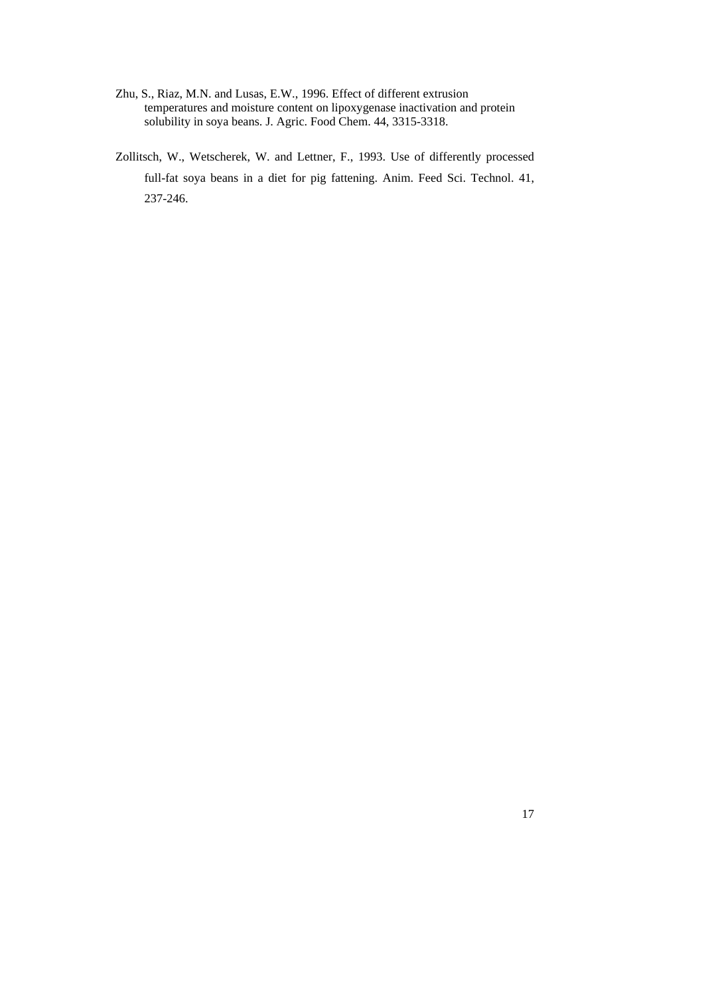- Zhu, S., Riaz, M.N. and Lusas, E.W., 1996. Effect of different extrusion solu bility in soya beans. J. Agric. Food Chem. 44, 3315-3318. temperatures and moisture content on lipoxygenase inactivation and protein
- Zollitsch, W., Wetscherek, W. and Lettner, F., 1993. Use of differently processed 237- 246. full-fat soya beans in a diet for pig fattening. Anim. Feed Sci. Technol. 41,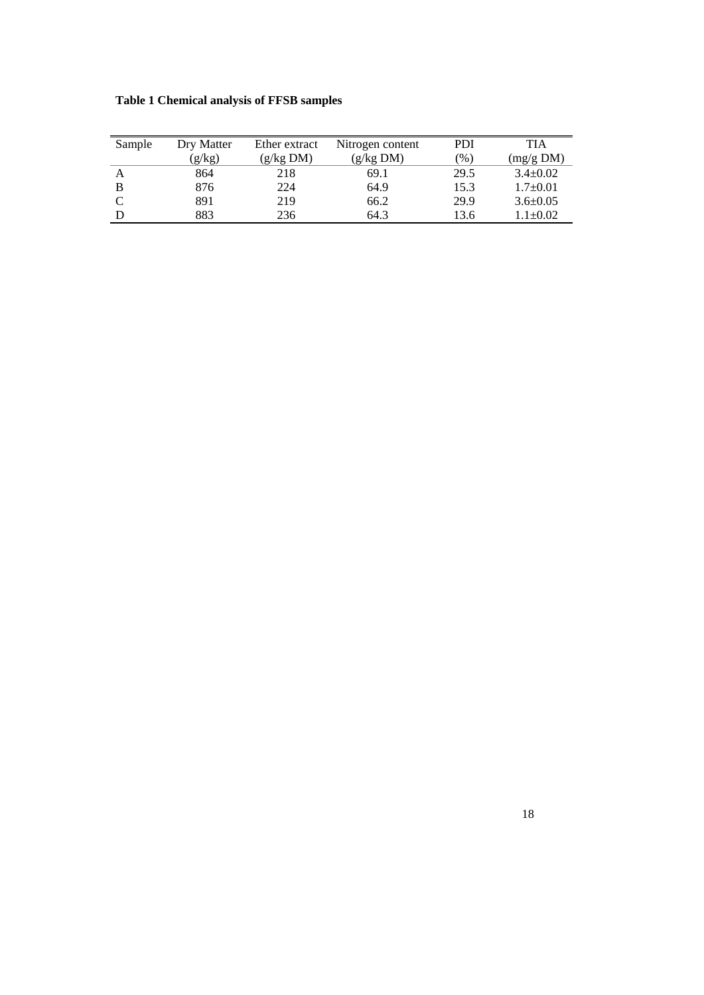| <b>Table 1 Chemical analysis of FFSB samples</b> |  |  |
|--------------------------------------------------|--|--|
|                                                  |  |  |

| Sample | Dry Matter | Ether extract | Nitrogen content | PDI             | TIA            |
|--------|------------|---------------|------------------|-----------------|----------------|
|        | (g/kg)     | (g/kg DM)     | (g/kg DM)        | $\frac{9}{6}$ ) | (mg/g DM)      |
| A      | 864        | 218           | 69.1             | 29.5            | $3.4 \pm 0.02$ |
| B      | 876        | 224           | 64.9             | 15.3            | $1.7 \pm 0.01$ |
| C      | 891        | 219           | 66.2             | 29.9            | $3.6 \pm 0.05$ |
| D      | 883        | 236           | 64.3             | 13.6            | $1.1 \pm 0.02$ |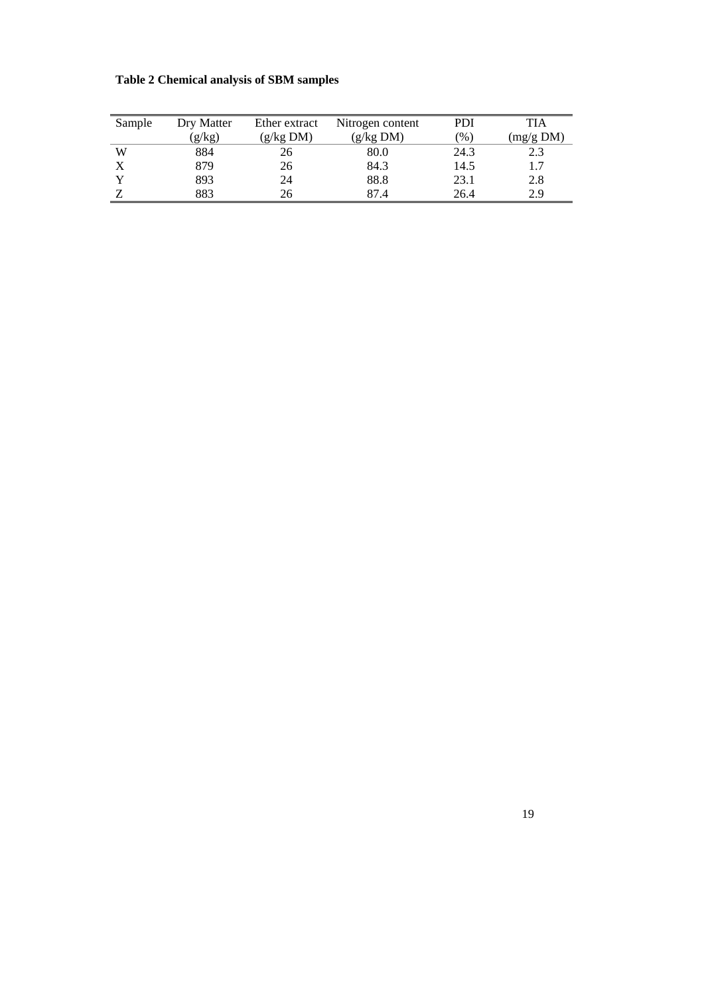#### **Table 2 Ch emical analysis of SBM samples**

| Sample                    | Dry Matter | Ether extract | Nitrogen content | PDI           | TIA       |
|---------------------------|------------|---------------|------------------|---------------|-----------|
|                           | (g/kg)     | (g/kg DM)     | (g/kg DM)        | $\frac{9}{6}$ | (mg/g DM) |
| W                         | 884        | 26            | 80.0             | 24.3          | 2.3       |
| $\boldsymbol{\mathrm{X}}$ | 879        | 26            | 84.3             | 14.5          | 1.7       |
|                           | 893        | 24            | 88.8             | 23.1          | 2.8       |
|                           | 883        | 26            | 87.4             | 26.4          | 2.9       |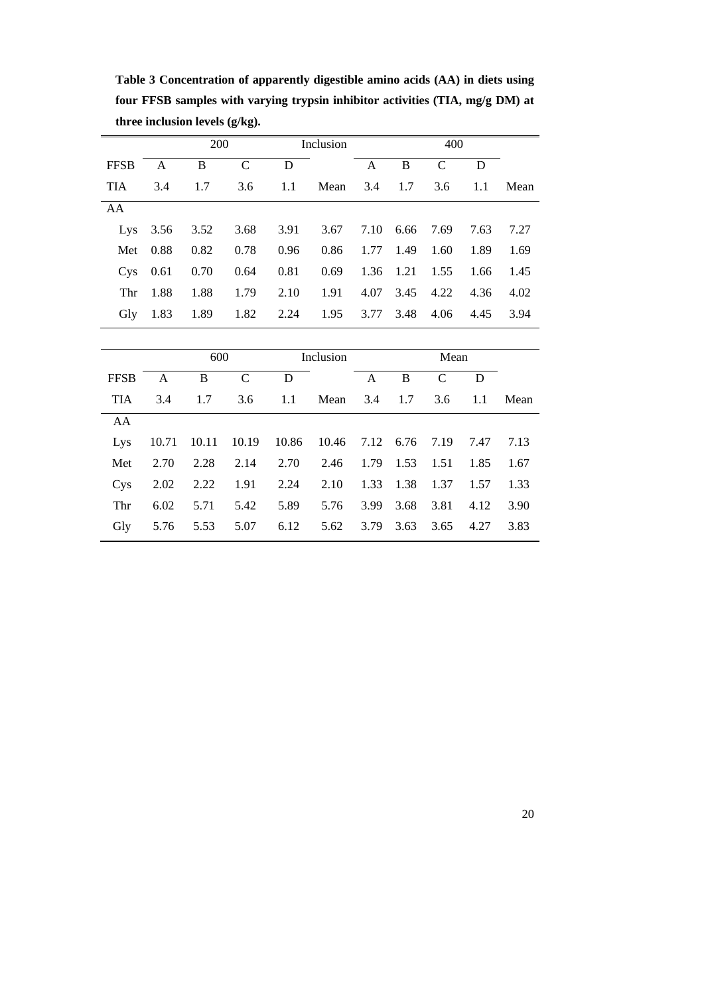**Table 3 Concentration of apparently digestible amino acids (AA) in diets using fou r FFSB samples with varying trypsin inhibitor activities (TIA, mg/g DM) at**  three inclusion levels (g/kg).

|             |      | 200  |              |      | Inclusion |                | 400            |      |        |      |
|-------------|------|------|--------------|------|-----------|----------------|----------------|------|--------|------|
| <b>FFSB</b> | A    | B    | $\mathsf{C}$ | D    |           | A              | B              | C    | D      |      |
| <b>TIA</b>  | 3.4  | 1.7  | 3.6          | 1.1  | Mean      | 3.4 1.7        |                | 3.6  | 1.1    | Mean |
| AA          |      |      |              |      |           |                |                |      |        |      |
| Lys         | 3.56 | 3.52 | 3.68         | 3.91 |           | 3.67 7.10 6.66 |                | 7.69 | 7.63   | 7.27 |
| Met         | 0.88 | 0.82 | 0.78         | 0.96 | 0.86      | 1.77           | 1.49           | 1.60 | 1.89   | 1.69 |
| <b>Cys</b>  | 0.61 | 0.70 | 0.64         | 0.81 | 0.69      |                | 1.36 1.21 1.55 |      | - 1.66 | 1.45 |
| Thr         | 1.88 | 1.88 | 1.79         | 2.10 | 1.91      | 4.07           | 3.45           | 4.22 | 4.36   | 4.02 |
| Gly         | 1.83 | 1.89 | 1.82         | 2.24 | 1.95      |                | 3.77 3.48      | 4.06 | 4.45   | 3.94 |

|             |       | 600   |      |      | Inclusion                   |           |      | Mean      |      |      |
|-------------|-------|-------|------|------|-----------------------------|-----------|------|-----------|------|------|
| <b>FFSB</b> | A     | B     | C    | D    |                             | A         | B    | C         | D    |      |
| <b>TIA</b>  | 3.4   | 1.7   | 3.6  | 1.1  | Mean                        | 3.4       | 1.7  | 3.6       | 1.1  | Mean |
| AA          |       |       |      |      |                             |           |      |           |      |      |
| Lys         | 10.71 | 10.11 |      |      | 10.19 10.86 10.46 7.12 6.76 |           |      | 7.19 7.47 |      | 7.13 |
| Met         | 2.70  | 2.28  | 2.14 | 2.70 | 2.46                        | 1.79 1.53 |      | 1.51      | 1.85 | 1.67 |
| Cys         | 2.02  | 2.22  | 1.91 | 2.24 | 2.10                        | 1.33 1.38 |      | 1.37      | 1.57 | 1.33 |
| Thr         | 6.02  | 5.71  | 5.42 | 5.89 | 5.76                        | 3.99      | 3.68 | 3.81      | 4.12 | 3.90 |
| Gly         | 5.76  | 5.53  | 5.07 | 6.12 | 5.62                        | 3.79      | 3.63 | 3.65      | 4.27 | 3.83 |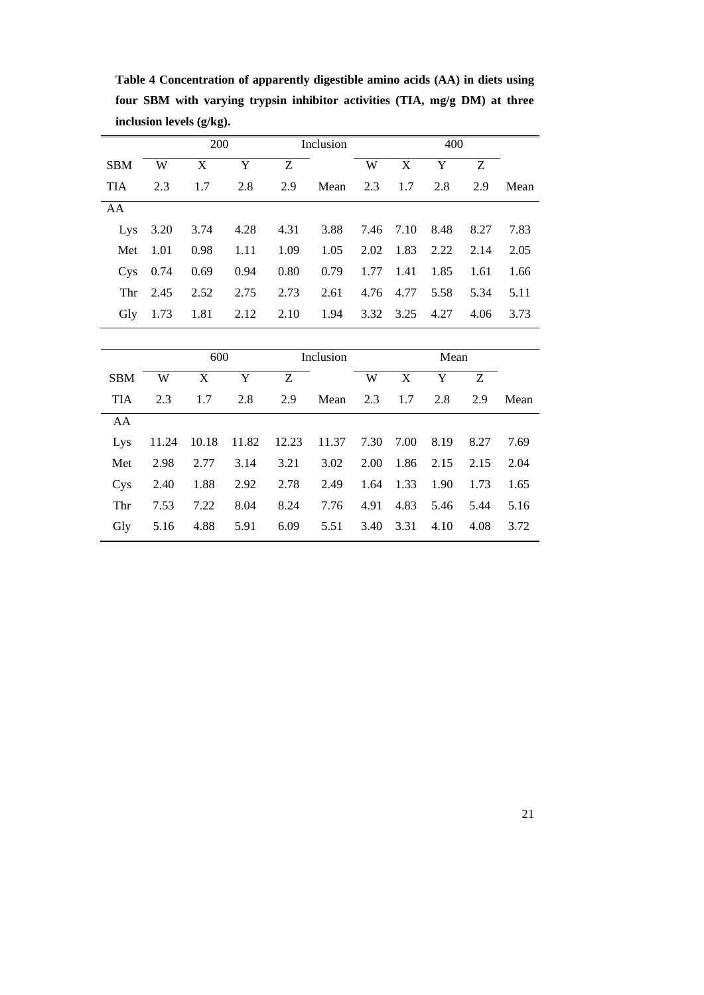|                 |      | <b>200</b> |      |      | Inclusion            |                      |                | 400                      |      |      |
|-----------------|------|------------|------|------|----------------------|----------------------|----------------|--------------------------|------|------|
| <b>SBM</b>      | W    | X          | Y    | Z    |                      | W                    | X              | Y                        | Z    |      |
| <b>TIA</b>      | 2.3  | 1.7        | 2.8  |      | 2.9 Mean 2.3 1.7 2.8 |                      |                |                          | 2.9  | Mean |
| AA              |      |            |      |      |                      |                      |                |                          |      |      |
| Lys             | 3.20 | 3.74 4.28  |      | 4.31 |                      |                      |                | 3.88 7.46 7.10 8.48 8.27 |      | 7.83 |
| Met             | 1.01 | 0.98       | 1.11 | 1.09 |                      | $1.05$ $2.02$ $1.83$ |                | 2.22 2.14                |      | 2.05 |
| C <sub>VS</sub> | 0.74 | 0.69       | 0.94 | 0.80 | 0.79                 |                      | 1.77 1.41 1.85 |                          | 1.61 | 1.66 |
| Thr             | 2.45 | 2.52       | 2.75 | 2.73 | 2.61                 |                      |                | 4.76 4.77 5.58 5.34      |      | 5.11 |
| Gly             | 1.73 | 1.81       | 2.12 | 2.10 |                      |                      |                | 1.94 3.32 3.25 4.27      | 4.06 | 3.73 |

**Table 4 Concentration of apparently digestible amino acids (AA) in diets using fou r SBM with varying trypsin inhibitor activities (TIA, mg/g DM) at three incl usion levels (g/kg).** 

|            | 600  |       |      |      | Inclusion                                    |      |           | Mean |      |      |
|------------|------|-------|------|------|----------------------------------------------|------|-----------|------|------|------|
| <b>SBM</b> | W    | X     | Y    | Z    |                                              | W    | X         | Y    | Z    |      |
| <b>TIA</b> | 2.3  | 1.7   | 2.8  | 2.9  | Mean                                         |      | 2.3 1.7   | 2.8  | 2.9  | Mean |
| AA         |      |       |      |      |                                              |      |           |      |      |      |
| Lys        |      |       |      |      | 11.24 10.18 11.82 12.23 11.37 7.30 7.00 8.19 |      |           |      | 8.27 | 7.69 |
| Met        | 2.98 | 2.77  | 3.14 | 3.21 | 3.02                                         | 2.00 | 1.86 2.15 |      | 2.15 | 2.04 |
| Cys        | 2.40 | 1.88  | 2.92 | 2.78 | 2.49                                         | 1.64 | 1.33      | 1.90 | 1.73 | 1.65 |
| Thr        | 7.53 | 7.22  | 8.04 | 8.24 | 7.76                                         | 4.91 | 4.83      | 5.46 | 5.44 | 5.16 |
| Gly        | 5.16 | -4.88 | 5.91 | 6.09 | 5.51                                         | 3.40 | 3.31      | 4.10 | 4.08 | 3.72 |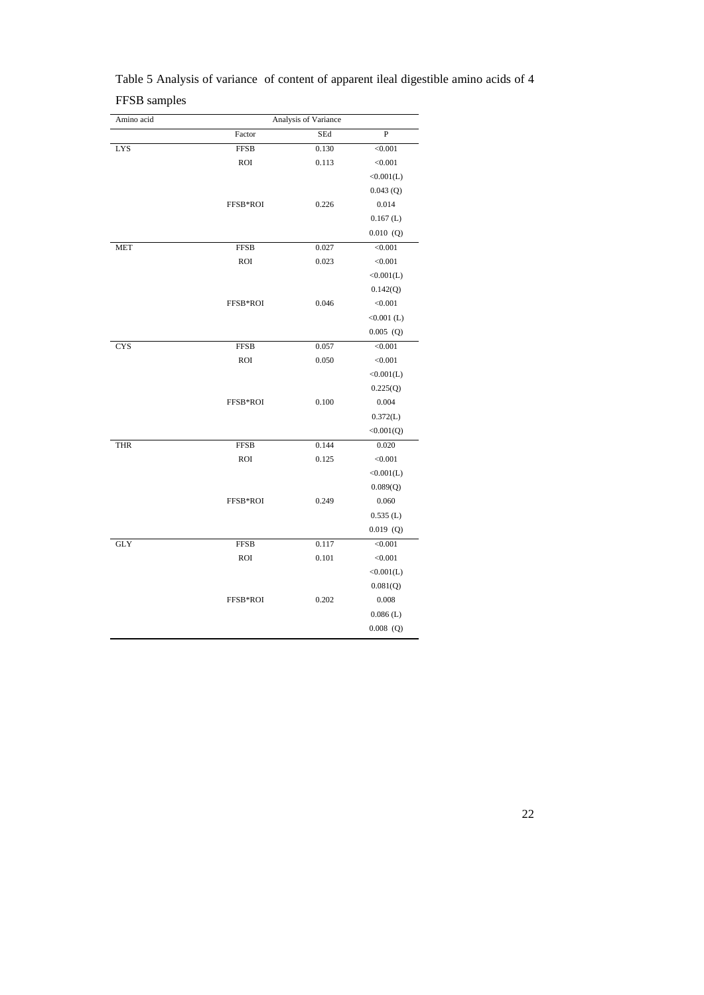| Amino acid | Analysis of Variance |       |                |  |  |  |  |  |
|------------|----------------------|-------|----------------|--|--|--|--|--|
|            | Factor               | SEd   | ${\bf P}$      |  |  |  |  |  |
| LYS        | <b>FFSB</b>          | 0.130 | < 0.001        |  |  |  |  |  |
|            | <b>ROI</b>           | 0.113 | < 0.001        |  |  |  |  |  |
|            |                      |       | <0.001(L)      |  |  |  |  |  |
|            |                      |       | 0.043(Q)       |  |  |  |  |  |
|            | FFSB*ROI             | 0.226 | 0.014          |  |  |  |  |  |
|            |                      |       | $0.167$ (L)    |  |  |  |  |  |
|            |                      |       | $0.010$ (Q)    |  |  |  |  |  |
| <b>MET</b> | <b>FFSB</b>          | 0.027 | < 0.001        |  |  |  |  |  |
|            | <b>ROI</b>           | 0.023 | < 0.001        |  |  |  |  |  |
|            |                      |       | <0.001(L)      |  |  |  |  |  |
|            |                      |       | 0.142(Q)       |  |  |  |  |  |
|            | FFSB*ROI             | 0.046 | < 0.001        |  |  |  |  |  |
|            |                      |       | $<0.001$ (L)   |  |  |  |  |  |
|            |                      |       | $0.005$ (Q)    |  |  |  |  |  |
| <b>CYS</b> | <b>FFSB</b>          | 0.057 | < 0.001        |  |  |  |  |  |
|            | <b>ROI</b>           | 0.050 | < 0.001        |  |  |  |  |  |
|            |                      |       | <0.001(L)      |  |  |  |  |  |
|            |                      |       | 0.225(Q)       |  |  |  |  |  |
|            | FFSB*ROI             | 0.100 | 0.004          |  |  |  |  |  |
|            |                      |       | 0.372(L)       |  |  |  |  |  |
|            |                      |       | <0.001(Q)      |  |  |  |  |  |
| <b>THR</b> | <b>FFSB</b>          | 0.144 | 0.020          |  |  |  |  |  |
|            | <b>ROI</b>           | 0.125 | < 0.001        |  |  |  |  |  |
|            |                      |       | <0.001(L)      |  |  |  |  |  |
|            |                      |       | 0.089(Q)       |  |  |  |  |  |
|            | FFSB*ROI             | 0.249 | 0.060          |  |  |  |  |  |
|            |                      |       | $0.535$ (L)    |  |  |  |  |  |
|            |                      |       | $0.019$ (Q)    |  |  |  |  |  |
| <b>GLY</b> | <b>FFSB</b>          | 0.117 | $\sqrt{0.001}$ |  |  |  |  |  |
|            | <b>ROI</b>           | 0.101 | < 0.001        |  |  |  |  |  |
|            |                      |       | <0.001(L)      |  |  |  |  |  |
|            |                      |       | 0.081(Q)       |  |  |  |  |  |
|            | FFSB*ROI             | 0.202 | 0.008          |  |  |  |  |  |
|            |                      |       | $0.086$ (L)    |  |  |  |  |  |
|            |                      |       | $0.008$ (Q)    |  |  |  |  |  |
|            |                      |       |                |  |  |  |  |  |

Table 5 Analysis of variance of content of apparent ileal digestible amino acids of 4 FFS B samples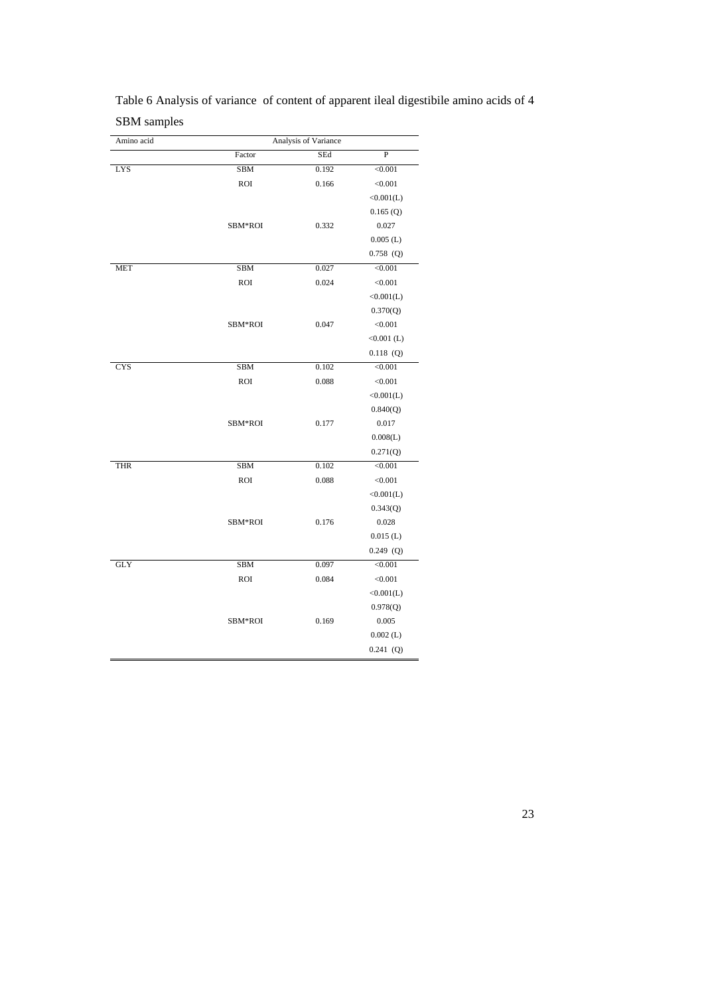Table 6 Analysis of variance of content of apparent ileal digestibile amino acids of 4 SB M samples

| SEd<br>Factor<br><b>SBM</b><br>0.192<br>LYS | ${\bf P}$<br>< 0.001 |
|---------------------------------------------|----------------------|
|                                             |                      |
|                                             |                      |
| <b>ROI</b><br>0.166                         | < 0.001              |
|                                             | <0.001(L)            |
|                                             | 0.165(Q)             |
| 0.332<br>SBM*ROI                            | 0.027                |
|                                             | $0.005$ (L)          |
|                                             | $0.758$ (Q)          |
| <b>SBM</b><br>0.027<br>MET                  | < 0.001              |
| <b>ROI</b><br>0.024                         | < 0.001              |
|                                             | <0.001(L)            |
|                                             | 0.370(Q)             |
| SBM*ROI<br>0.047                            | < 0.001              |
|                                             | $<0.001$ (L)         |
|                                             | $0.118$ (Q)          |
| 0.102<br><b>CYS</b><br><b>SBM</b>           | < 0.001              |
| <b>ROI</b><br>0.088                         | < 0.001              |
|                                             | <0.001(L)            |
|                                             | 0.840(Q)             |
| SBM*ROI<br>0.177                            | 0.017                |
|                                             | 0.008(L)             |
|                                             | 0.271(Q)             |
| <b>SBM</b><br>0.102<br><b>THR</b>           | < 0.001              |
| <b>ROI</b><br>0.088                         | < 0.001              |
|                                             | <0.001(L)            |
|                                             | 0.343(Q)             |
| SBM*ROI<br>0.176                            | 0.028                |
|                                             | $0.015$ (L)          |
|                                             | $0.249$ (Q)          |
| <b>GLY</b><br>0.097<br><b>SBM</b>           | < 0.001              |
| <b>ROI</b><br>0.084                         | < 0.001              |
|                                             | <0.001(L)            |
|                                             | 0.978(Q)             |
| SBM*ROI<br>0.169                            | 0.005                |
|                                             | $0.002$ (L)          |
|                                             | $0.241$ (Q)          |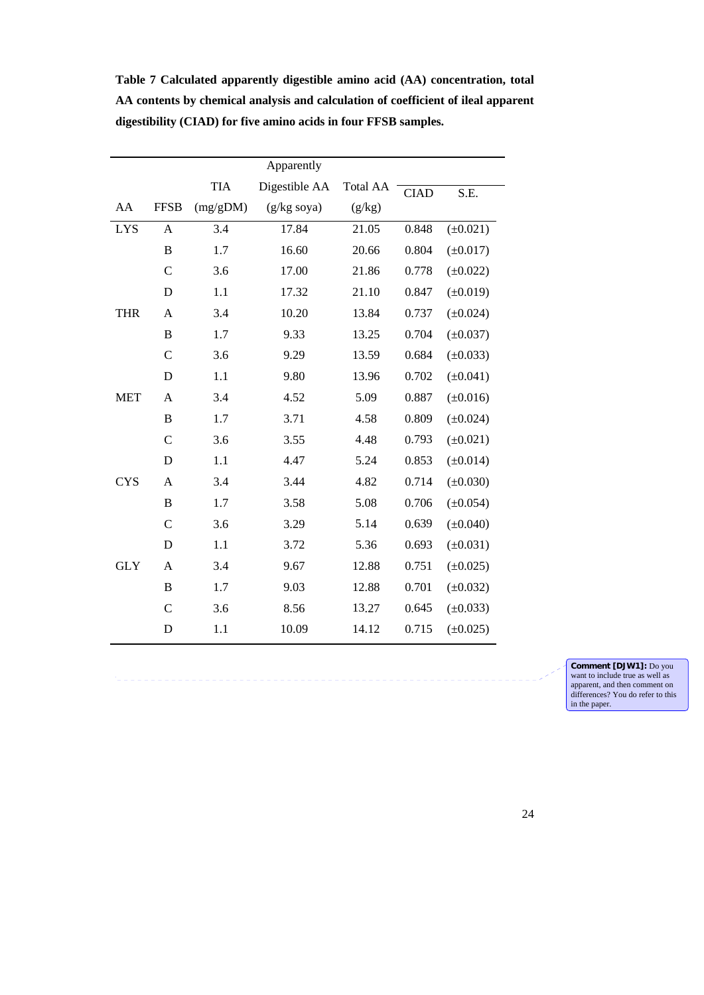**AA contents by chemical analysis and calculation of coefficient of ileal apparent dig estibility (CIAD) for five amino acids in four FFSB samples.**  Apparently Total A TIA Digestible AA CIAD S.E. AA FFSB (mg/gDM) (g /kg s oya)  $(g/kg)$  $\overline{a}$ LYS A 3.4 17.84 21.05 0.848  $(\pm 0.021)$ 

**Table 7 Calculated apparently digestible amino acid (AA) concentration, total** 

| <b>LYS</b> | A             | 3.4 | 17.84 | 21.05 | 0.848 | $(\pm 0.021)$ |
|------------|---------------|-----|-------|-------|-------|---------------|
|            | B             | 1.7 | 16.60 | 20.66 | 0.804 | $(\pm 0.017)$ |
|            | $\mathsf{C}$  | 3.6 | 17.00 | 21.86 | 0.778 | $(\pm 0.022)$ |
|            | D             | 1.1 | 17.32 | 21.10 | 0.847 | $(\pm 0.019)$ |
| <b>THR</b> | A             | 3.4 | 10.20 | 13.84 | 0.737 | $(\pm 0.024)$ |
|            | B             | 1.7 | 9.33  | 13.25 | 0.704 | $(\pm 0.037)$ |
|            | $\mathbf C$   | 3.6 | 9.29  | 13.59 | 0.684 | $(\pm 0.033)$ |
|            | D             | 1.1 | 9.80  | 13.96 | 0.702 | $(\pm 0.041)$ |
| <b>MET</b> | A             | 3.4 | 4.52  | 5.09  | 0.887 | $(\pm 0.016)$ |
|            | B             | 1.7 | 3.71  | 4.58  | 0.809 | $(\pm 0.024)$ |
|            | $\mathcal{C}$ | 3.6 | 3.55  | 4.48  | 0.793 | $(\pm 0.021)$ |
|            | D             | 1.1 | 4.47  | 5.24  | 0.853 | $(\pm 0.014)$ |
| <b>CYS</b> | $\mathsf{A}$  | 3.4 | 3.44  | 4.82  | 0.714 | $(\pm 0.030)$ |
|            | B             | 1.7 | 3.58  | 5.08  | 0.706 | $(\pm 0.054)$ |
|            | $\mathbf C$   | 3.6 | 3.29  | 5.14  | 0.639 | $(\pm 0.040)$ |
|            | D             | 1.1 | 3.72  | 5.36  | 0.693 | $(\pm 0.031)$ |
| <b>GLY</b> | A             | 3.4 | 9.67  | 12.88 | 0.751 | $(\pm 0.025)$ |
|            | B             | 1.7 | 9.03  | 12.88 | 0.701 | $(\pm 0.032)$ |
|            | $\mathcal{C}$ | 3.6 | 8.56  | 13.27 | 0.645 | $(\pm 0.033)$ |
|            | D             | 1.1 | 10.09 | 14.12 | 0.715 | $(\pm 0.025)$ |
|            |               |     |       |       |       |               |

. . . . . . . . . . . . . . . . .

**Comment [DJW1]:** Do you want to include true as well as pparent, and then comment on<br>ifferences? You do refer to this<br>n the paper. ap d in the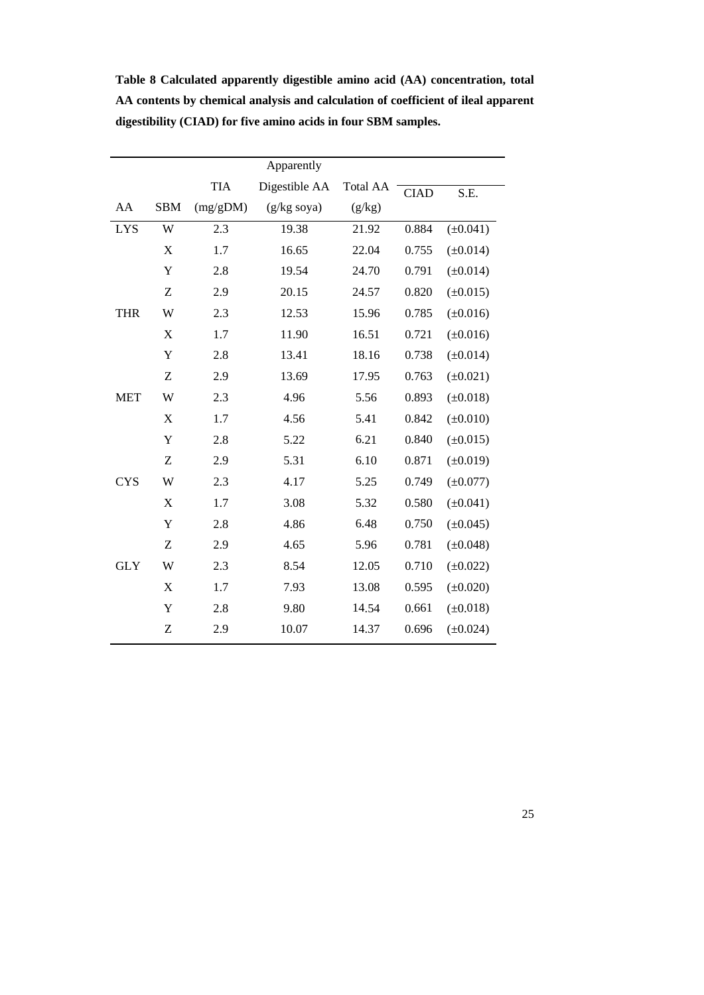|                           |            | Apparently    |                 |       |               |
|---------------------------|------------|---------------|-----------------|-------|---------------|
|                           | <b>TIA</b> | Digestible AA | <b>Total AA</b> |       | S.E.          |
| <b>SBM</b>                | (mg/gDM)   | $(g/kg$ soya) | (g/kg)          |       |               |
| W                         | 2.3        | 19.38         | 21.92           | 0.884 | $(\pm 0.041)$ |
| $\boldsymbol{\mathrm{X}}$ | 1.7        | 16.65         | 22.04           | 0.755 | $(\pm 0.014)$ |
| Y                         | 2.8        | 19.54         | 24.70           | 0.791 | $(\pm 0.014)$ |
| Z                         | 2.9        | 20.15         | 24.57           | 0.820 | $(\pm 0.015)$ |
| W                         | 2.3        | 12.53         | 15.96           | 0.785 | $(\pm 0.016)$ |
| X                         | 1.7        | 11.90         | 16.51           | 0.721 | $(\pm 0.016)$ |
| Y                         | 2.8        | 13.41         | 18.16           | 0.738 | $(\pm 0.014)$ |
| Z                         | 2.9        | 13.69         | 17.95           | 0.763 | $(\pm 0.021)$ |
| W                         | 2.3        | 4.96          | 5.56            | 0.893 | $(\pm 0.018)$ |
| $\boldsymbol{\mathrm{X}}$ | 1.7        | 4.56          | 5.41            | 0.842 | $(\pm 0.010)$ |
| Y                         | 2.8        | 5.22          | 6.21            | 0.840 | $(\pm 0.015)$ |
| Z                         | 2.9        | 5.31          | 6.10            | 0.871 | $(\pm 0.019)$ |
| W                         | 2.3        | 4.17          | 5.25            | 0.749 | $(\pm 0.077)$ |
| X                         | 1.7        | 3.08          | 5.32            | 0.580 | $(\pm 0.041)$ |
| Y                         | 2.8        | 4.86          | 6.48            | 0.750 | $(\pm 0.045)$ |
| Z                         | 2.9        | 4.65          | 5.96            | 0.781 | $(\pm 0.048)$ |
| W                         | 2.3        | 8.54          | 12.05           | 0.710 | $(\pm 0.022)$ |
| X                         | 1.7        | 7.93          | 13.08           | 0.595 | $(\pm 0.020)$ |
| Y                         | 2.8        | 9.80          | 14.54           | 0.661 | $(\pm 0.018)$ |
| Z                         | 2.9        | 10.07         | 14.37           | 0.696 | $(\pm 0.024)$ |
|                           |            |               |                 |       | <b>CIAD</b>   |

**Table 8 Calculated apparently digestible amino acid (AA) concentration, total AA contents by chemical analysis and calculation of coefficient of ileal apparent dig estibility (CIAD) for five amino acids in four SBM samples.**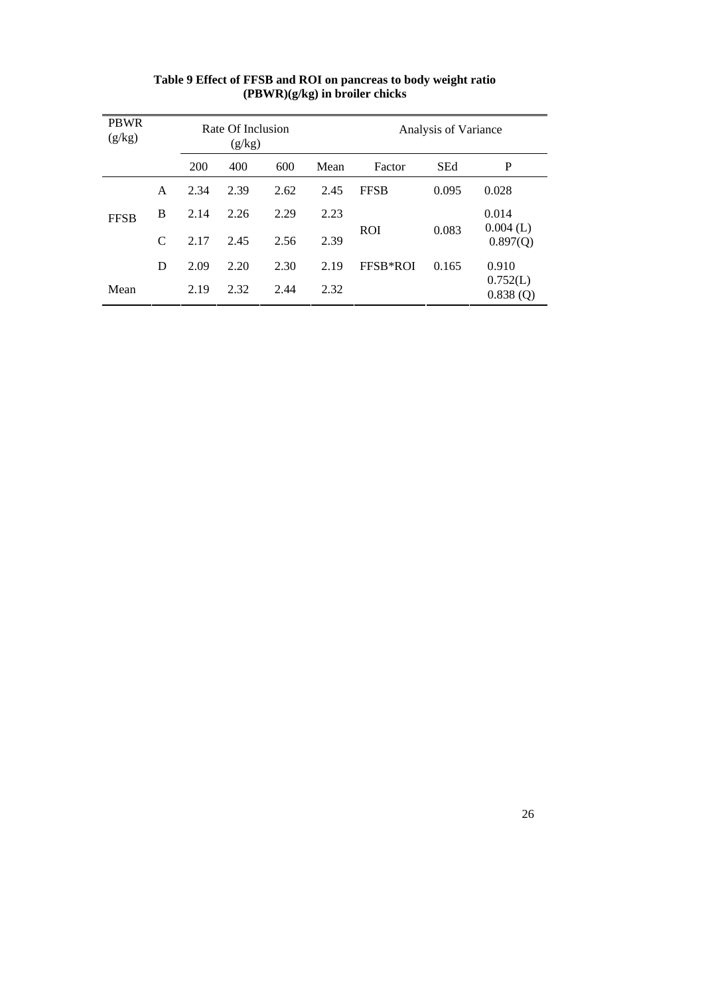| <b>PBWR</b><br>(g/kg) |                                   |      | Rate Of Inclusion<br>(g/kg) |       |      | Analysis of Variance |            |                         |  |
|-----------------------|-----------------------------------|------|-----------------------------|-------|------|----------------------|------------|-------------------------|--|
|                       |                                   | 200  | 400                         | 600   | Mean | Factor               | <b>SEd</b> | P                       |  |
|                       | A                                 | 2.34 | 2.39                        | 2.62  | 2.45 | <b>FFSB</b>          | 0.095      | 0.028                   |  |
| <b>FFSB</b>           | B<br>2.29<br>2.14<br>2.26<br>2.23 |      |                             | 0.014 |      |                      |            |                         |  |
| C                     |                                   | 2.17 | 2.45                        | 2.56  | 2.39 | <b>ROI</b>           | 0.083      | $0.004$ (L)<br>0.897(Q) |  |
|                       | D                                 | 2.09 | 2.20                        | 2.30  | 2.19 | FFSB*ROI             | 0.165      | 0.910                   |  |
| Mean                  |                                   | 2.19 | 2.32                        | 2.44  | 2.32 |                      |            | 0.752(L)<br>0.838(Q)    |  |

# **Table 9 Effec t of FFSB and ROI on pancreas to body weight ratio (PBWR)(g/kg) in broiler chicks**